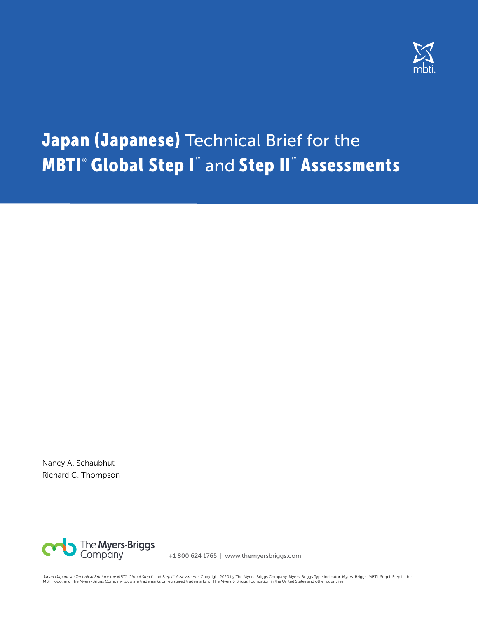

# Japan (Japanese) Technical Brief for the **MBTI® Global Step I™** and Step II™ Assessments

Nancy A. Schaubhut Richard C. Thompson



+1 800 624 1765 | www.themyersbriggs.com

Japan (Japanese) Technical Brief for the MBTI" Global Step I" and Step II" Assessments Copyright 2020 by The Myers-Briggs Company. Myers-Briggs Type Indicator, Myers-Briggs, MBTI, Step I, Step II, the<br>MBTI logo, and The My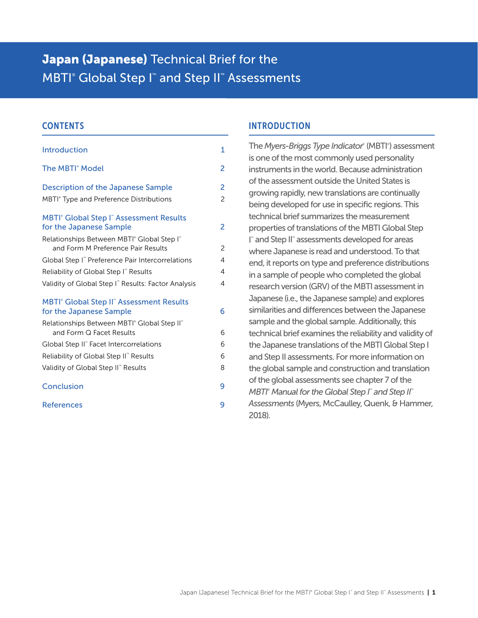# Japan (Japanese) Technical Brief for the MBTI<sup>®</sup> Global Step I<sup>™</sup> and Step II™ Assessments

# **CONTENTS**

| Introduction                                                                                     | $\overline{1}$ |
|--------------------------------------------------------------------------------------------------|----------------|
| The MBTI <sup>®</sup> Model                                                                      | 2              |
| <b>Description of the Japanese Sample</b>                                                        | 2              |
| <b>MBTI</b> <sup>®</sup> Type and Preference Distributions                                       | 2              |
| <b>MBTI<sup>®</sup></b> Global Step I <sup>™</sup> Assessment Results<br>for the Japanese Sample | 2              |
| Relationships Between MBTI <sup>®</sup> Global Step I <sup>®</sup>                               |                |
| and Form M Preference Pair Results                                                               | $\overline{c}$ |
| Global Step I" Preference Pair Intercorrelations                                                 | $\overline{4}$ |
| Reliability of Global Step I" Results                                                            | 4              |
| Validity of Global Step I" Results: Factor Analysis                                              | 4              |
| <b>MBTI<sup>®</sup></b> Global Step II <sup>®</sup> Assessment Results                           |                |
| for the Japanese Sample                                                                          | 6              |
| Relationships Between MBTI® Global Step II®                                                      |                |
| and Form Q Facet Results                                                                         | 6              |
| Global Step II" Facet Intercorrelations                                                          | 6              |
| Reliability of Global Step II" Results                                                           | 6              |
| Validity of Global Step II" Results                                                              | 8              |
| Conclusion                                                                                       | 9              |
| <b>References</b>                                                                                | 9              |
|                                                                                                  |                |

# INTRODUCTION

The *Myers-Briggs Type Indicator®* (MBTI® ) assessment is one of the most commonly used personality instruments in the world. Because administration of the assessment outside the United States is growing rapidly, new translations are continually being developed for use in specific regions. This technical brief summarizes the measurement properties of translations of the MBTI Global Step I ™ and Step II™ assessments developed for areas where Japanese is read and understood. To that end, it reports on type and preference distributions in a sample of people who completed the global research version (GRV) of the MBTI assessment in Japanese (i.e., the Japanese sample) and explores similarities and differences between the Japanese sample and the global sample. Additionally, this technical brief examines the reliability and validity of the Japanese translations of the MBTI Global Step I and Step II assessments. For more information on the global sample and construction and translation of the global assessments see chapter 7 of the *MBTI® Manual for the Global Step I™ and Step II™ Assessments* (Myers, McCaulley, Quenk, & Hammer, 2018).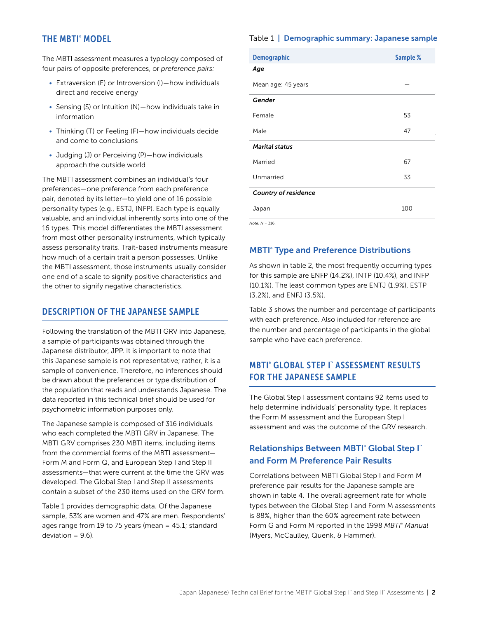# <span id="page-2-0"></span>THE MBTI® MODEL

The MBTI assessment measures a typology composed of four pairs of opposite preferences, or *preference pairs:* 

- Extraversion (E) or Introversion (I)—how individuals direct and receive energy
- Sensing (S) or Intuition (N)—how individuals take in information
- Thinking (T) or Feeling (F)—how individuals decide and come to conclusions
- Judging (J) or Perceiving (P)—how individuals approach the outside world

The MBTI assessment combines an individual's four preferences—one preference from each preference pair, denoted by its letter—to yield one of 16 possible personality types (e.g., ESTJ, INFP). Each type is equally valuable, and an individual inherently sorts into one of the 16 types. This model differentiates the MBTI assessment from most other personality instruments, which typically assess personality traits. Trait-based instruments measure how much of a certain trait a person possesses. Unlike the MBTI assessment, those instruments usually consider one end of a scale to signify positive characteristics and the other to signify negative characteristics.

# DESCRIPTION OF THE JAPANESE SAMPLE

Following the translation of the MBTI GRV into Japanese, a sample of participants was obtained through the Japanese distributor, JPP. It is important to note that this Japanese sample is not representative; rather, it is a sample of convenience. Therefore, no inferences should be drawn about the preferences or type distribution of the population that reads and understands Japanese. The data reported in this technical brief should be used for psychometric information purposes only.

The Japanese sample is composed of 316 individuals who each completed the MBTI GRV in Japanese. The MBTI GRV comprises 230 MBTI items, including items from the commercial forms of the MBTI assessment— Form M and Form Q, and European Step I and Step II assessments—that were current at the time the GRV was developed. The Global Step I and Step II assessments contain a subset of the 230 items used on the GRV form.

Table 1 provides demographic data. Of the Japanese sample, 53% are women and 47% are men. Respondents' ages range from 19 to 75 years (mean = 45.1; standard  $deviation = 9.6$ ).

#### Table 1 | Demographic summary: Japanese sample

| <b>Demographic</b>          | Sample % |
|-----------------------------|----------|
| Age                         |          |
| Mean age: 45 years          |          |
| Gender                      |          |
| Female                      | 53       |
| Male                        | 47       |
| <b>Marital status</b>       |          |
| Married                     | 67       |
| Unmarried                   | 33       |
| <b>Country of residence</b> |          |
| Japan                       | 100      |
| Note: $N = 316$ .           |          |

**MBTI<sup>®</sup> Type and Preference Distributions** 

As shown in table 2, the most frequently occurring types for this sample are ENFP (14.2%), INTP (10.4%), and INFP (10.1%). The least common types are ENTJ (1.9%), ESTP (3.2%), and ENFJ (3.5%).

Table 3 shows the number and percentage of participants with each preference. Also included for reference are the number and percentage of participants in the global sample who have each preference.

# MBTI® GLOBAL STEP I™ ASSESSMENT RESULTS FOR THE JAPANESE SAMPLE

The Global Step I assessment contains 92 items used to help determine individuals' personality type. It replaces the Form M assessment and the European Step I assessment and was the outcome of the GRV research.

# **Relationships Between MBTI® Global Step I™** and Form M Preference Pair Results

Correlations between MBTI Global Step I and Form M preference pair results for the Japanese sample are shown in table 4. The overall agreement rate for whole types between the Global Step I and Form M assessments is 88%, higher than the 60% agreement rate between Form G and Form M reported in the 1998 *MBTI® Manual*  (Myers, McCaulley, Quenk, & Hammer).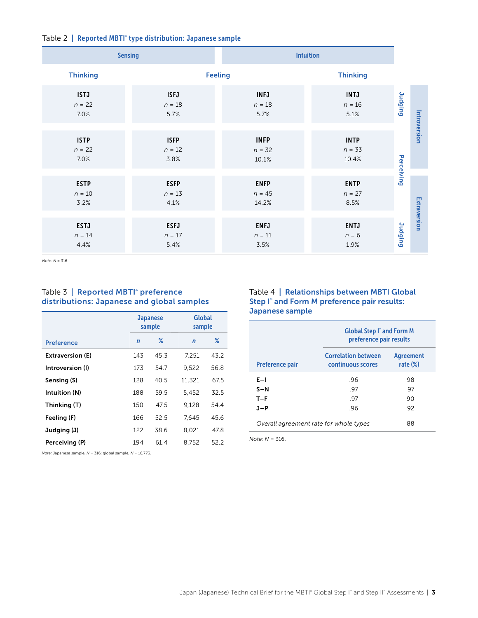|                                 | <b>Sensing</b>                  | <b>Intuition</b>                 |                                  |                 |              |
|---------------------------------|---------------------------------|----------------------------------|----------------------------------|-----------------|--------------|
| <b>Thinking</b>                 |                                 | <b>Feeling</b>                   | <b>Thinking</b>                  |                 |              |
| <b>ISTJ</b><br>$n = 22$<br>7.0% | <b>ISFJ</b><br>$n=18$<br>5.7%   | <b>INFJ</b><br>$n = 18$<br>5.7%  | <b>INTJ</b><br>$n=16$<br>5.1%    | <b>Judging</b>  | Introversion |
| <b>ISTP</b><br>$n = 22$<br>7.0% | <b>ISFP</b><br>$n = 12$<br>3.8% | <b>INFP</b><br>$n = 32$<br>10.1% | <b>INTP</b><br>$n = 33$<br>10.4% |                 |              |
| <b>ESTP</b><br>$n=10$<br>3.2%   | <b>ESFP</b><br>$n = 13$<br>4.1% | <b>ENFP</b><br>$n = 45$<br>14.2% | <b>ENTP</b><br>$n = 27$<br>8.5%  | Perceiving      |              |
| <b>ESTJ</b><br>$n = 14$<br>4.4% | <b>ESFJ</b><br>$n=17$<br>5.4%   | <b>ENFJ</b><br>$n = 11$<br>3.5%  | <b>ENTJ</b><br>$n = 6$<br>1.9%   | <b>Duripput</b> | Extraversion |

*Note: N* = 316.

#### Table 3 | Reported MBTI<sup>®</sup> preference distributions: Japanese and global samples

|                         |              | <b>Japanese</b><br>sample | <b>Global</b><br>sample |      |
|-------------------------|--------------|---------------------------|-------------------------|------|
| <b>Preference</b>       | $\mathsf{n}$ | ℅                         | $\mathbf n$             | ℅    |
| <b>Extraversion (E)</b> | 143          | 45.3                      | 7,251                   | 43.2 |
| Introversion (I)        | 173          | 54.7                      | 9.522                   | 56.8 |
| Sensing (S)             | 128          | 40.5                      | 11,321                  | 67.5 |
| Intuition (N)           | 188          | 59.5                      | 5.452                   | 32.5 |
| Thinking (T)            | 150          | 47.5                      | 9.128                   | 54.4 |
| Feeling (F)             | 166          | 52.5                      | 7.645                   | 45.6 |
| Judging (J)             | 122          | 38.6                      | 8.021                   | 47.8 |
| Perceiving (P)          | 194          | 61.4                      | 8.752                   | 52.2 |

#### Table 4 | Relationships between MBTI Global Step I™ and Form M preference pair results: Japanese sample

|                        | <b>Global Step I<sup>*</sup> and Form M</b><br>preference pair results |                                 |
|------------------------|------------------------------------------------------------------------|---------------------------------|
| <b>Preference pair</b> | <b>Correlation between</b><br>continuous scores                        | <b>Agreement</b><br>rate $(\%)$ |
| $E-1$                  | .96                                                                    | 98                              |
| $S-N$                  | -97                                                                    | 97                              |
| $T-F$                  | -97                                                                    | 90                              |
| $J-P$                  | .96                                                                    | 92                              |
|                        | Overall agreement rate for whole types<br>88                           |                                 |

*Note: N* = 316.

*Note:* Japanese sample, *N* = 316; global sample, *N* = 16,773.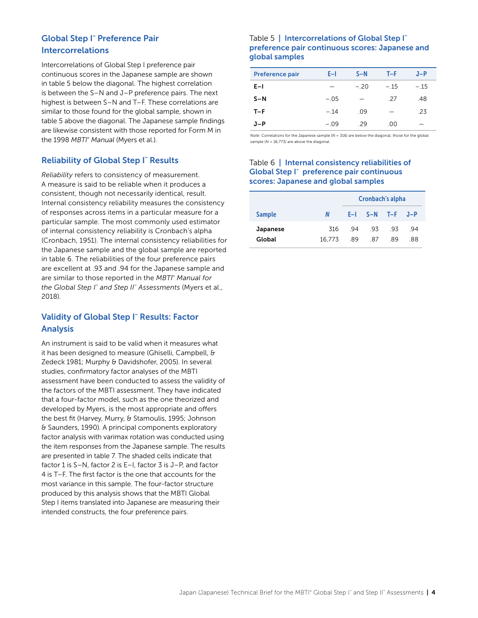# <span id="page-4-0"></span>Global Step I™ Preference Pair Intercorrelations

Intercorrelations of Global Step I preference pair continuous scores in the Japanese sample are shown in table 5 below the diagonal. The highest correlation is between the S–N and J–P preference pairs. The next highest is between S–N and T–F. These correlations are similar to those found for the global sample, shown in table 5 above the diagonal. The Japanese sample findings are likewise consistent with those reported for Form M in the 1998 *MBTI*® *Manual* (Myers et al.).

# **Reliability of Global Step I™ Results**

*Reliability* refers to consistency of measurement. A measure is said to be reliable when it produces a consistent, though not necessarily identical, result. Internal consistency reliability measures the consistency of responses across items in a particular measure for a particular sample. The most commonly used estimator of internal consistency reliability is Cronbach's alpha (Cronbach, 1951). The internal consistency reliabilities for the Japanese sample and the global sample are reported in table 6. The reliabilities of the four preference pairs are excellent at .93 and .94 for the Japanese sample and are similar to those reported in the *MBTI® Manual for the Global Step I™ and Step II™ Assessments* (Myers et al., 2018).

# Validity of Global Step I™ Results: Factor Analysis

An instrument is said to be valid when it measures what it has been designed to measure (Ghiselli, Campbell, & Zedeck 1981; Murphy & Davidshofer, 2005). In several studies, confirmatory factor analyses of the MBTI assessment have been conducted to assess the validity of the factors of the MBTI assessment. They have indicated that a four-factor model, such as the one theorized and developed by Myers, is the most appropriate and offers the best fit (Harvey, Murry, & Stamoulis, 1995; Johnson & Saunders, 1990). A principal components exploratory factor analysis with varimax rotation was conducted using the item responses from the Japanese sample. The results are presented in table 7. The shaded cells indicate that factor 1 is S–N, factor 2 is E–I, factor 3 is J–P, and factor 4 is T–F. The first factor is the one that accounts for the most variance in this sample. The four-factor structure produced by this analysis shows that the MBTI Global Step I items translated into Japanese are measuring their intended constructs, the four preference pairs.

#### Table 5 | Intercorrelations of Global Step I™ preference pair continuous scores: Japanese and global samples

| <b>Preference pair</b> | E-I    | $S-N$  | T-F    | $J-P$  |
|------------------------|--------|--------|--------|--------|
| $E-1$                  |        | $-.20$ | $-.15$ | $-.15$ |
| $S-N$                  | $-.05$ |        | -27    | .48    |
| $T-F$                  | $-.14$ | .09    |        | .23    |
| J-P                    | $-.09$ | -29    | .00    |        |

*Note:* Correlations for the Japanese sample (*N* = 316) are below the diagonal; those for the global sample ( $N = 16,773$ ) are above the diagonal.

#### Table 6 | Internal consistency reliabilities of Global Step I™ preference pair continuous scores: Japanese and global samples

|                    |               |           | Cronbach's alpha        |             |           |
|--------------------|---------------|-----------|-------------------------|-------------|-----------|
| <b>Sample</b>      | N             |           | $E-I$ $S-N$ $T-F$ $J-P$ |             |           |
| Japanese<br>Global | 316<br>16.773 | 94<br>-89 | - 93<br>.87             | - 93<br>-89 | -94<br>88 |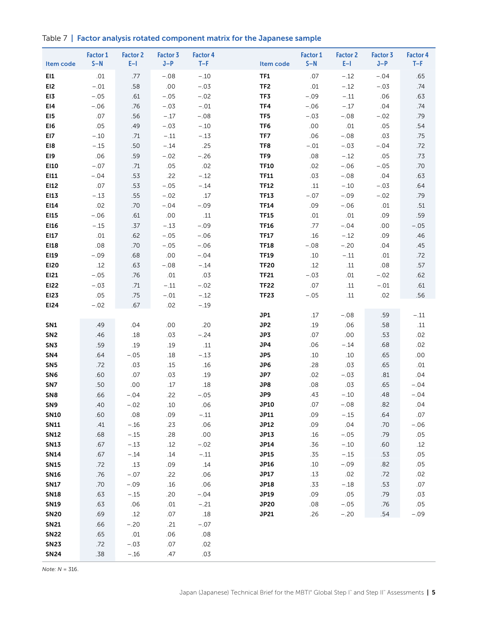|  |  |  |  |  | Table 7   Factor analysis rotated component matrix for the Japanese sample |  |
|--|--|--|--|--|----------------------------------------------------------------------------|--|
|--|--|--|--|--|----------------------------------------------------------------------------|--|

| Item code                          | <b>Factor 1</b><br>$S-N$ | <b>Factor 2</b><br>$E-1$ | Factor 3<br>$J-P$ | <b>Factor 4</b><br>$T-F$ | Item code       | Factor 1<br>$S-N$ | <b>Factor 2</b><br>$E-1$ | <b>Factor 3</b><br>$J-P$ | <b>Factor 4</b><br>$T-F$ |
|------------------------------------|--------------------------|--------------------------|-------------------|--------------------------|-----------------|-------------------|--------------------------|--------------------------|--------------------------|
| EI1                                | .01                      | .77                      | $-.08$            | $-.10$                   | TF1             | .07               | $-.12$                   | $-.04$                   | .65                      |
| EI <sub>2</sub>                    | $-.01$                   | .58                      | .00               | $-.03$                   | TF <sub>2</sub> | .01               | $-.12$                   | $-.03$                   | .74                      |
| EI3                                | $-.05$                   | .61                      | $-.05$            | $-.02$                   | TF3             | $-.09$            | $-.11$                   | .06                      | .63                      |
| EI4                                | $-.06$                   | .76                      | $-.03$            | $-.01$                   | TF4             | $-.06$            | $-.17$                   | .04                      | .74                      |
| EI5                                | .07                      | .56                      | $-.17$            | $-.08$                   | TF5             | $-.03$            | $-.08$                   | $-.02$                   | .79                      |
| EI6                                | .05                      | .49                      | $-.03$            | $-.10$                   | TF6             | .00               | .01                      | .05                      | .54                      |
| EI7                                | $-.10$                   | .71                      | $-.11$            | $-.13$                   | TF7             | .06               | $-.08$                   | .03                      | .75                      |
| EI8                                | $-.15$                   | .50                      | $-.14$            | .25                      | TF8             | $-.01$            | $-.03$                   | $-.04$                   | .72                      |
| EI9                                | .06                      | .59                      | $-.02$            | $-.26$                   | TF9             | .08               | $-.12$                   | .05                      | .73                      |
| E110                               | $-.07$                   | .71                      | .05               | .02                      | <b>TF10</b>     | .02               | $-.06$                   | $-.05$                   | .70                      |
| EI11                               | $-.04$                   | .53                      | .22               | $-.12$                   | <b>TF11</b>     | .03               | $-.08$                   | .04                      | .63                      |
| EI12                               | .07                      | .53                      | $-.05$            | $-.14$                   | <b>TF12</b>     | .11               | $-.10$                   | $-.03$                   | .64                      |
| EI13                               | $-.13$                   | .55                      | $-.02$            | .17                      | <b>TF13</b>     | $-.07$            | $-.09$                   | $-.02$                   | .79                      |
| EI14                               | .02                      | .70                      | $-.04$            | $-.09$                   | <b>TF14</b>     | .09               | $-.06$                   | .01                      | .51                      |
| E115                               | $-.06$                   | .61                      | $.00$             | .11                      | <b>TF15</b>     | .01               | .01                      | .09                      | .59                      |
| EI16                               | $-.15$                   | .37                      | $-.13$            | $-.09$                   | <b>TF16</b>     | .77               | $-.04$                   | .00                      | $-.05$                   |
| EI17                               | .01                      | .62                      | $-.05$            | $-.06$                   | <b>TF17</b>     | .16               | $-.12$                   | .09                      | .46                      |
| EI18                               | .08                      | .70                      | $-.05$            | $-.06$                   | <b>TF18</b>     | $-.08$            | $-.20$                   | .04                      | .45                      |
| E119                               | $-.09$                   | .68                      | .00               | $-.04$                   | <b>TF19</b>     | .10               | $-.11$                   | .01                      | .72                      |
| E120                               | .12                      | .63                      | $-.08$            | $-.14$                   | <b>TF20</b>     | .12               | .11                      | .08                      | .57                      |
| EI21                               | $-.05$                   | .76                      | $.01\,$           | .03                      | <b>TF21</b>     | $-.03$            | .01                      | $-.02$                   | .62                      |
| EI22                               | $-.03$                   | .71                      | $-.11$            | $-.02$                   | <b>TF22</b>     | .07               | .11                      | $-.01$                   | .61                      |
| EI23                               | .05                      | .75                      | $-.01$            | $-.12$                   | <b>TF23</b>     | $-.05$            | .11                      | .02                      | .56                      |
| EI24                               | $-.02$                   | .67                      | .02               | $-.19$                   |                 |                   |                          |                          |                          |
|                                    |                          | .04                      |                   | .20                      | JP1             | .17               | $-.08$<br>.06            | .59                      | $-.11$                   |
| SN <sub>1</sub><br>SN <sub>2</sub> | .49<br>.46               | .18                      | .00<br>.03        | $-.24$                   | JP2<br>JP3      | .19<br>.07        | .00                      | .58<br>.53               | .11<br>.02               |
| SN <sub>3</sub>                    | .59                      | .19                      | .19               | .11                      | JP4             | .06               | $-.14$                   | .68                      | .02                      |
| SN4                                | .64                      | $-.05$                   | .18               | $-.13$                   | JP5             | .10               | $.10$                    | .65                      | $.00$                    |
| SN <sub>5</sub>                    | .72                      | .03                      | .15               | .16                      | JP6             | .28               | .03                      | .65                      | .01                      |
| SN <sub>6</sub>                    | .60                      | .07                      | .03               | .19                      | JP7             | .02               | $-.03$                   | .81                      | .04                      |
| SN7                                | .50                      | .00                      | .17               | .18                      | JP8             | .08               | .03                      | .65                      | $-.04$                   |
| SN <sub>8</sub>                    | .66                      | $-.04$                   | .22               | $-.05$                   | JP9             | .43               | $-.10$                   | .48                      | $-.04$                   |
| SN <sub>9</sub>                    | .40                      | $-.02$                   | .10               | .06                      | JP10            | .07               | $-.08$                   | .82                      | .04                      |
| <b>SN10</b>                        | .60                      | .08                      | .09               | $-.11\,$                 | JP11            | .09               | $-.15$                   | .64                      | .07                      |
| <b>SN11</b>                        | .41                      | $-.16$                   | .23               | .06                      | <b>JP12</b>     | .09               | .04                      | .70                      | $-.06$                   |
| <b>SN12</b>                        | .68                      | $-.15$                   | .28               | $.00$                    | JP13            | .16               | $-.05$                   | .79                      | .05                      |
| <b>SN13</b>                        | .67                      | $-.13$                   | .12               | $-.02$                   | JP14            | .36               | $-.10$                   | .60                      | .12                      |
| <b>SN14</b>                        | .67                      | $-.14$                   | .14               | $-.11$                   | <b>JP15</b>     | .35               | $-.15$                   | .53                      | .05                      |
| <b>SN15</b>                        | .72                      | .13                      | .09               | .14                      | JP16            | .10               | $-.09$                   | .82                      | .05                      |
| <b>SN16</b>                        | .76                      | $-.07$                   | .22               | .06                      | JP17            | .13               | .02                      | .72                      | .02                      |
| <b>SN17</b>                        | .70                      | $-.09$                   | .16               | .06                      | JP18            | .33               | $-.18$                   | .53                      | .07                      |
| <b>SN18</b>                        | .63                      | $-.15$                   | .20               | $-.04$                   | JP19            | .09               | .05                      | .79                      | .03                      |
| <b>SN19</b>                        | .63                      | .06                      | .01               | $-.21$                   | <b>JP20</b>     | .08               | $-.05$                   | .76                      | .05                      |
| <b>SN20</b>                        | .69                      | .12                      | .07               | $.18$                    | JP21            | .26               | $-.20$                   | .54                      | $-.09$                   |
| <b>SN21</b>                        | .66                      | $-.20$                   | .21               | $-.07$                   |                 |                   |                          |                          |                          |
| <b>SN22</b>                        | .65                      | $.01\,$                  | .06               | $.08$                    |                 |                   |                          |                          |                          |
| <b>SN23</b>                        | .72                      | $-.03$                   | .07               | .02                      |                 |                   |                          |                          |                          |
| <b>SN24</b>                        | .38                      | $-.16$                   | .47               | .03                      |                 |                   |                          |                          |                          |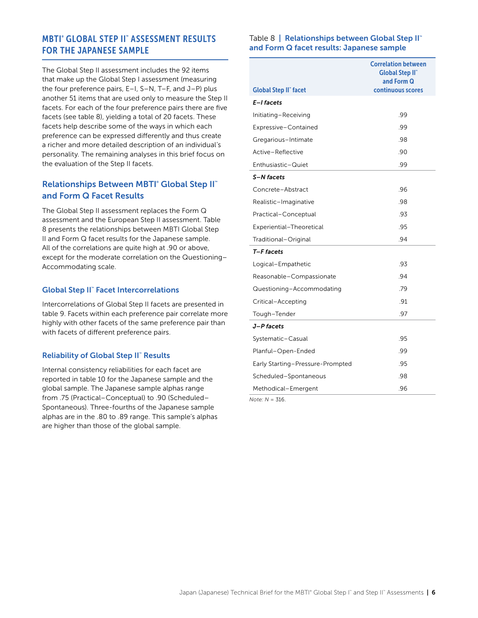# <span id="page-6-0"></span>MBTI® GLOBAL STEP II™ ASSESSMENT RESULTS FOR THE JAPANESE SAMPLE

The Global Step II assessment includes the 92 items that make up the Global Step I assessment (measuring the four preference pairs, E–I, S–N, T–F, and J–P) plus another 51 items that are used only to measure the Step II facets. For each of the four preference pairs there are five facets (see table 8), yielding a total of 20 facets. These facets help describe some of the ways in which each preference can be expressed differently and thus create a richer and more detailed description of an individual's personality. The remaining analyses in this brief focus on the evaluation of the Step II facets.

# **Relationships Between MBTI<sup>®</sup> Global Step II<sup>™</sup>** and Form Q Facet Results

The Global Step II assessment replaces the Form Q assessment and the European Step II assessment. Table 8 presents the relationships between MBTI Global Step II and Form Q facet results for the Japanese sample. All of the correlations are quite high at .90 or above, except for the moderate correlation on the Questioning– Accommodating scale.

#### Global Step II™ Facet Intercorrelations

Intercorrelations of Global Step II facets are presented in table 9. Facets within each preference pair correlate more highly with other facets of the same preference pair than with facets of different preference pairs.

#### **Reliability of Global Step II™ Results**

Internal consistency reliabilities for each facet are reported in table 10 for the Japanese sample and the global sample. The Japanese sample alphas range from .75 (Practical–Conceptual) to .90 (Scheduled– Spontaneous). Three-fourths of the Japanese sample alphas are in the .80 to .89 range. This sample's alphas are higher than those of the global sample.

#### Table 8 | Relationships between Global Step II™ and Form Q facet results: Japanese sample

|                                  | <b>Correlation between</b><br><b>Global Step II</b><br>and Form Q |
|----------------------------------|-------------------------------------------------------------------|
| <b>Global Step II" facet</b>     | continuous scores                                                 |
| E-I facets                       |                                                                   |
| Initiating-Receiving             | .99                                                               |
| Expressive-Contained             | .99                                                               |
| Gregarious-Intimate              | .98                                                               |
| Active-Reflective                | .90                                                               |
| Enthusiastic-Quiet               | .99                                                               |
| S-N facets                       |                                                                   |
| Concrete-Abstract                | .96                                                               |
| Realistic-Imaginative            | .98                                                               |
| Practical-Conceptual             | .93                                                               |
| Experiential-Theoretical         | .95                                                               |
| Traditional–Original             | .94                                                               |
| T-F facets                       |                                                                   |
| Logical-Empathetic               | .93                                                               |
| Reasonable-Compassionate         | .94                                                               |
| Questioning-Accommodating        | .79                                                               |
| Critical-Accepting               | .91                                                               |
| Tough-Tender                     | .97                                                               |
| J-P facets                       |                                                                   |
| Systematic-Casual                | .95                                                               |
| Planful-Open-Ended               | .99                                                               |
| Early Starting-Pressure-Prompted | .95                                                               |
| Scheduled-Spontaneous            | .98                                                               |
| Methodical-Emergent              | .96                                                               |
|                                  |                                                                   |

*Note: N* = 316.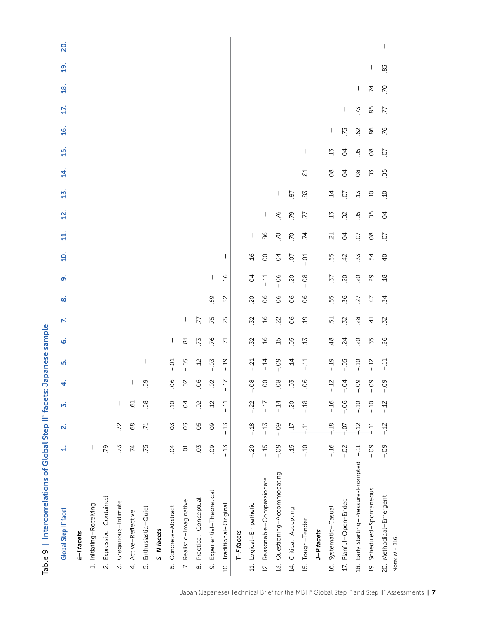| <b>Global Step II" facet</b>                       | H               | N               | m              | 4                 | μή      | ق               | $\mathbf{r}$    | ထ               | ഩ഻ഁ            | $\overline{a}$ | 늭              | $\mathbf{\dot{2}}$       | $\overline{13}$          | 4                        | $\ddot{a}$     | <u>يه</u>                | 17. | <u>প্ৰ</u>                            | <u>ଗ୍</u> | <u>20.</u> |
|----------------------------------------------------|-----------------|-----------------|----------------|-------------------|---------|-----------------|-----------------|-----------------|----------------|----------------|----------------|--------------------------|--------------------------|--------------------------|----------------|--------------------------|-----|---------------------------------------|-----------|------------|
| E-I facets                                         |                 |                 |                |                   |         |                 |                 |                 |                |                |                |                          |                          |                          |                |                          |     |                                       |           |            |
| 1. Initiating-Receiving                            | I               |                 |                |                   |         |                 |                 |                 |                |                |                |                          |                          |                          |                |                          |     |                                       |           |            |
| Expressive-Contained<br>$\sim$                     | .79             |                 |                |                   |         |                 |                 |                 |                |                |                |                          |                          |                          |                |                          |     |                                       |           |            |
| Gregarious-Intimate<br>$\overline{3}$              | .73             | 72              | 1              |                   |         |                 |                 |                 |                |                |                |                          |                          |                          |                |                          |     |                                       |           |            |
| 4. Active-Reflective                               | $\overline{74}$ | 68              | 61             |                   |         |                 |                 |                 |                |                |                |                          |                          |                          |                |                          |     |                                       |           |            |
| Enthusiastic-Quiet<br>$\vec{S}$                    | 75              | $\overline{71}$ | 68             | 69                |         |                 |                 |                 |                |                |                |                          |                          |                          |                |                          |     |                                       |           |            |
| S-N facets                                         |                 |                 |                |                   |         |                 |                 |                 |                |                |                |                          |                          |                          |                |                          |     |                                       |           |            |
| Concrete-Abstract<br>$\dot{\circ}$                 | $\overline{6}$  | 0 <sub>2</sub>  | Q <sub>1</sub> | 06                | $-0.01$ | $\mathbf{I}$    |                 |                 |                |                |                |                          |                          |                          |                |                          |     |                                       |           |            |
| 7. Realistic-Imaginative                           | S               | 0.5             | $\overline{0}$ | $\overline{O}$    | $-0.5$  | $\approx$       | $\mathbf{I}$    |                 |                |                |                |                          |                          |                          |                |                          |     |                                       |           |            |
| Practical-Conceptual<br>$\dot{\infty}$             | $-0.5$          | $-0.5$          | $-0.2$         | 06<br>$\mathsf I$ | $-12$   | 73              | 77              | L               |                |                |                |                          |                          |                          |                |                          |     |                                       |           |            |
| Experiential-Theoretical<br>oi                     | 0               | 0               | $\ddot{5}$     | SO                | $-0.5$  | $\overline{5}$  | .75             | 69              | $\mathbf{I}$   |                |                |                          |                          |                          |                |                          |     |                                       |           |            |
| 10. Traditional-Original                           | $-15$           | $-15$           | 다<br>-         | $-17$             | $-19$   | 71              | .75             | 82              | 66.            |                |                |                          |                          |                          |                |                          |     |                                       |           |            |
| T-F facets                                         |                 |                 |                |                   |         |                 |                 |                 |                |                |                |                          |                          |                          |                |                          |     |                                       |           |            |
| 11. Logical-Empathetic                             | $-20$           | $-18$           | $-22$          | $-08$             | $-21$   | $\ddot{2}$      | 52              | 50              | $\overline{6}$ | $-16$          | $\mathbf{I}$   |                          |                          |                          |                |                          |     |                                       |           |            |
| Reasonable-Compassionate<br>$\frac{1}{2}$          | $-15$           | $-15$           | Li-            | 00                | $-14$   | $\ddot{5}$      | $\overline{16}$ | 06              | $-11$          | $\overline{0}$ | 86             | $\overline{\phantom{a}}$ |                          |                          |                |                          |     |                                       |           |            |
| Questioning-Accommodating<br>15.                   | $-0.09$         | $-0.9$          | $-14$          | $\infty$          | $-0.9$  | $\overline{15}$ | 22              | 06              | $-0.06$        | $\overline{q}$ | $\overline{C}$ | 76                       | $\overline{\phantom{a}}$ |                          |                |                          |     |                                       |           |            |
| 14. Critical-Accepting                             | $-15$           | コー              | $-20$          | 0 <sub>2</sub>    | $-14$   | 05              | 06              | $-0.06$         | $-20$          | $-0.7$         | $\overline{C}$ | 79                       | $\overline{8}$           | $\overline{\phantom{a}}$ |                |                          |     |                                       |           |            |
| Tough-Tender<br>15.                                | $-10$           | $\frac{11}{1}$  | $-18$          | 06                | .<br>그  | 13              | $\ddot{5}$      | 06              | $-08$          | $-0.1$         | $\overline{7}$ | L.                       | 83                       | $\overline{81}$          | I.             |                          |     |                                       |           |            |
| J-P facets                                         |                 |                 |                |                   |         |                 |                 |                 |                |                |                |                          |                          |                          |                |                          |     |                                       |           |            |
| 16. Systematic-Casual                              | $-16$           | $-18$           | $-16$          | $-12$             | $-19$   | 48              | 51<br>1         | 55              | -27            | 65             | ಸ್ತ            | 13                       | $\overline{4}$           | 08                       | $\ddot{5}$     | $\overline{\phantom{a}}$ |     |                                       |           |            |
| 17. Planful-Open-Ended                             | $-0.02$         | $-0$            | $-06$          | $-0.4$            | $-0.5$  | $\overline{c}$  | $\overline{32}$ | 36              | 20             | 42             | $\overline{5}$ | $\overline{O}$           | S.                       | $\overline{0}$           | $\overline{6}$ | 73                       | T   |                                       |           |            |
| Early Starting-Pressure-Prompted<br>$\overline{a}$ | $-11$           | $-12$           | $-10$          | $-0.9$            | $-10$   | 20              | 28              | 27              | 20             | 53.            | Q.             | 0.5                      | 13                       | 08                       | 05             | 62                       | 73  | $\begin{array}{c} \hline \end{array}$ |           |            |
| Scheduled-Spontaneous<br>$\overline{19}$ .         | $-0.09$         | $\frac{11}{1}$  | $-10$          | $-0.9$            | $-12$   | 55.             | 4               | $\ddot{t}$      | 29             | 54             | $\overline{0}$ | 05                       | $\ddot{5}$               | $\overline{0}$           | 08             | 86                       | 85  | $\overline{z}$                        |           |            |
| 20. Methodical-Emergent                            | $-0.09$         | $-12$           | $-12$          | $-0.9$            | .<br>그  | 26              | 32              | $\overline{54}$ | $\frac{8}{18}$ | $\overline{4}$ | CO.            | 04                       | Cj.                      | 0.5                      | S.             | .76                      | 77  | S.                                    | 83        |            |
| Note: $N = 316$ .                                  |                 |                 |                |                   |         |                 |                 |                 |                |                |                |                          |                          |                          |                |                          |     |                                       |           |            |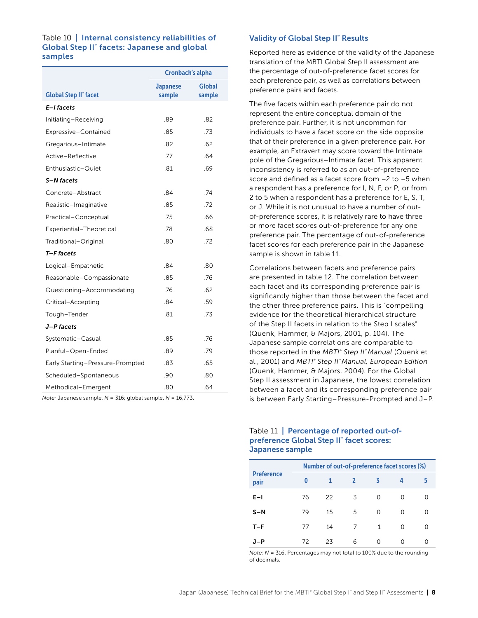#### <span id="page-8-0"></span>Table 10 | Internal consistency reliabilities of Global Step II™ facets: Japanese and global samples

|                                  | <b>Cronbach's alpha</b>   |                         |  |
|----------------------------------|---------------------------|-------------------------|--|
| <b>Global Step II" facet</b>     | <b>Japanese</b><br>sample | <b>Global</b><br>sample |  |
| E-I facets                       |                           |                         |  |
| Initiating-Receiving             | .89                       | .82                     |  |
| Expressive-Contained             | .85                       | .73                     |  |
| Gregarious-Intimate              | .82                       | .62                     |  |
| Active-Reflective                | .77                       | .64                     |  |
| Enthusiastic-Quiet               | .81                       | .69                     |  |
| S-N facets                       |                           |                         |  |
| Concrete-Abstract                | .84                       | .74                     |  |
| Realistic-Imaginative            | .85                       | .72                     |  |
| Practical-Conceptual             | .75                       | .66                     |  |
| Experiential-Theoretical         | .78                       | .68                     |  |
| Traditional-Original             | .80                       | .72                     |  |
| T-F facets                       |                           |                         |  |
| Logical-Empathetic               | .84                       | .80                     |  |
| Reasonable-Compassionate         | .85                       | .76                     |  |
| Questioning-Accommodating        | .76                       | .62                     |  |
| Critical-Accepting               | .84                       | .59                     |  |
| Tough-Tender                     | .81                       | .73                     |  |
| J-P facets                       |                           |                         |  |
| Systematic-Casual                | .85                       | .76                     |  |
| Planful-Open-Ended               | .89                       | .79                     |  |
| Early Starting-Pressure-Prompted | .83                       | .65                     |  |
| Scheduled-Spontaneous            | .90                       | .80                     |  |
| Methodical-Emergent              | .80                       | .64                     |  |

*Note:* Japanese sample, *N* = 316; global sample, *N* = 16,773.

#### Validity of Global Step II™ Results

Reported here as evidence of the validity of the Japanese translation of the MBTI Global Step II assessment are the percentage of out-of-preference facet scores for each preference pair, as well as correlations between preference pairs and facets.

The five facets within each preference pair do not represent the entire conceptual domain of the preference pair. Further, it is not uncommon for individuals to have a facet score on the side opposite that of their preference in a given preference pair. For example, an Extravert may score toward the Intimate pole of the Gregarious–Intimate facet. This apparent inconsistency is referred to as an out-of-preference score and defined as a facet score from –2 to –5 when a respondent has a preference for I, N, F, or P; or from 2 to 5 when a respondent has a preference for E, S, T, or J. While it is not unusual to have a number of outof-preference scores, it is relatively rare to have three or more facet scores out-of-preference for any one preference pair. The percentage of out-of-preference facet scores for each preference pair in the Japanese sample is shown in table 11.

Correlations between facets and preference pairs are presented in table 12. The correlation between each facet and its corresponding preference pair is significantly higher than those between the facet and the other three preference pairs. This is "compelling evidence for the theoretical hierarchical structure of the Step II facets in relation to the Step I scales" (Quenk, Hammer, & Majors, 2001, p. 104). The Japanese sample correlations are comparable to those reported in the *MBTI® Step II™ Manual* (Quenk et al., 2001) and *MBTI® Step II™ Manual, European Edition*  (Quenk, Hammer, & Majors, 2004). For the Global Step II assessment in Japanese, the lowest correlation between a facet and its corresponding preference pair is between Early Starting–Pressure-Prompted and J–P.

#### Table 11 | Percentage of reported out-ofpreference Global Step II™ facet scores: Japanese sample

|                           | Number of out-of-preference facet scores (%) |    |   |          |   |   |
|---------------------------|----------------------------------------------|----|---|----------|---|---|
| <b>Preference</b><br>pair | 0                                            |    | 2 | ζ        | 4 | 5 |
| $E-1$                     | 76                                           | 22 | 3 | 0        | 0 | Ω |
| $S-N$                     | 79                                           | 15 | 5 | 0        | O | ი |
| $T-F$                     | 77                                           | 14 | 7 | 1        | O | Ω |
| J-P                       | 72                                           | 23 | 6 | $\Omega$ | O |   |

*Note: N* = 316. Percentages may not total to 100% due to the rounding of decimals.